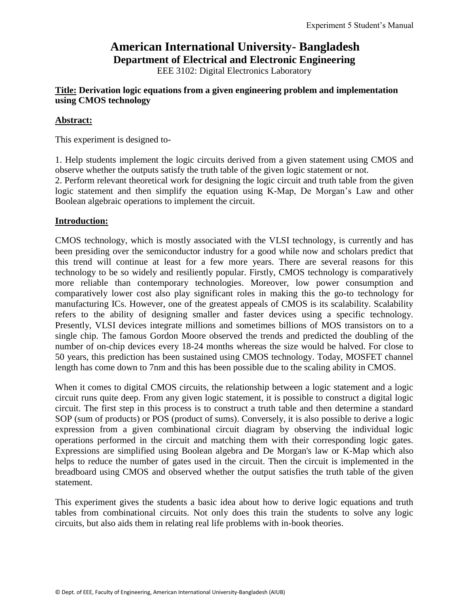# **American International University- Bangladesh Department of Electrical and Electronic Engineering**

EEE 3102: Digital Electronics Laboratory

# **Title: Derivation logic equations from a given engineering problem and implementation using CMOS technology**

# **Abstract:**

This experiment is designed to-

1. Help students implement the logic circuits derived from a given statement using CMOS and observe whether the outputs satisfy the truth table of the given logic statement or not.

2. Perform relevant theoretical work for designing the logic circuit and truth table from the given logic statement and then simplify the equation using K-Map, De Morgan's Law and other Boolean algebraic operations to implement the circuit.

# **Introduction:**

CMOS technology, which is mostly associated with the VLSI technology, is currently and has been presiding over the semiconductor industry for a good while now and scholars predict that this trend will continue at least for a few more years. There are several reasons for this technology to be so widely and resiliently popular. Firstly, CMOS technology is comparatively more reliable than contemporary technologies. Moreover, low power consumption and comparatively lower cost also play significant roles in making this the go-to technology for manufacturing ICs. However, one of the greatest appeals of CMOS is its scalability. Scalability refers to the ability of designing smaller and faster devices using a specific technology. Presently, VLSI devices integrate millions and sometimes billions of MOS transistors on to a single chip. The famous Gordon Moore observed the trends and predicted the doubling of the number of on-chip devices every 18-24 months whereas the size would be halved. For close to 50 years, this prediction has been sustained using CMOS technology. Today, MOSFET channel length has come down to 7nm and this has been possible due to the scaling ability in CMOS.

When it comes to digital CMOS circuits, the relationship between a logic statement and a logic circuit runs quite deep. From any given logic statement, it is possible to construct a digital logic circuit. The first step in this process is to construct a truth table and then determine a standard SOP (sum of products) or POS (product of sums). Conversely, it is also possible to derive a logic expression from a given combinational circuit diagram by observing the individual logic operations performed in the circuit and matching them with their corresponding logic gates. Expressions are simplified using Boolean algebra and De Morgan's law or K-Map which also helps to reduce the number of gates used in the circuit. Then the circuit is implemented in the breadboard using CMOS and observed whether the output satisfies the truth table of the given statement.

This experiment gives the students a basic idea about how to derive logic equations and truth tables from combinational circuits. Not only does this train the students to solve any logic circuits, but also aids them in relating real life problems with in-book theories.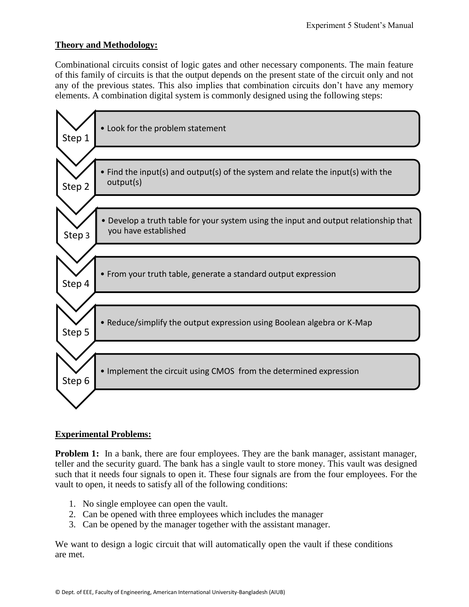# **Theory and Methodology:**

Combinational circuits consist of logic gates and other necessary components. The main feature of this family of circuits is that the output depends on the present state of the circuit only and not any of the previous states. This also implies that combination circuits don't have any memory elements. A combination digital system is commonly designed using the following steps:



# **Experimental Problems:**

**Problem 1:** In a bank, there are four employees. They are the bank manager, assistant manager, teller and the security guard. The bank has a single vault to store money. This vault was designed such that it needs four signals to open it. These four signals are from the four employees. For the vault to open, it needs to satisfy all of the following conditions:

- 1. No single employee can open the vault.
- 2. Can be opened with three employees which includes the manager
- 3. Can be opened by the manager together with the assistant manager.

We want to design a logic circuit that will automatically open the vault if these conditions are met.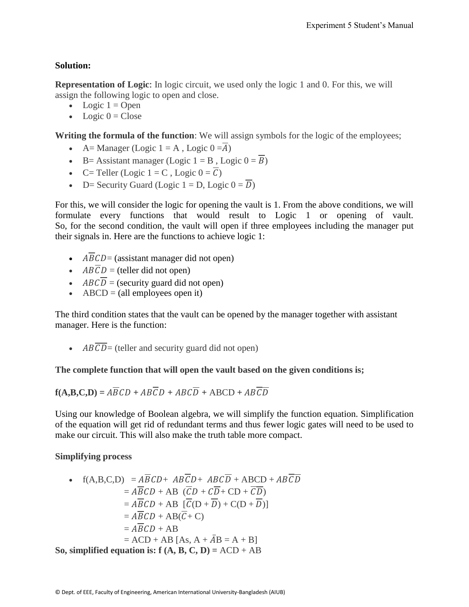# **Solution:**

**Representation of Logic**: In logic circuit, we used only the logic 1 and 0. For this, we will assign the following logic to open and close.

- Logic  $1 =$  Open
- $\bullet$  Logic  $0 = \text{Close}$

**Writing the formula of the function**: We will assign symbols for the logic of the employees;

- A= Manager (Logic  $1 = A$ , Logic  $0 = \overline{A}$ )
- B= Assistant manager (Logic  $1 = B$ , Logic  $0 = \overline{B}$ )
- C= Teller (Logic  $1 = C$ , Logic  $0 = \overline{C}$ )
- D= Security Guard (Logic  $1 = D$ , Logic  $0 = \overline{D}$ )

For this, we will consider the logic for opening the vault is 1. From the above conditions, we will formulate every functions that would result to Logic 1 or opening of vault. So, for the second condition, the vault will open if three employees including the manager put their signals in. Here are the functions to achieve logic 1:

- $\overline{ABCD}$  = (assistant manager did not open)
- $\cdot$   $AB\overline{C}D$  = (teller did not open)
- $\cdot$  ABC $\overline{D}$  = (security guard did not open)
- $\triangle$  ABCD = (all employees open it)

The third condition states that the vault can be opened by the manager together with assistant manager. Here is the function:

 $\overline{ABCD}$  = (teller and security guard did not open)

# **The complete function that will open the vault based on the given conditions is;**

$$
\mathbf{f}(\mathbf{A}, \mathbf{B}, \mathbf{C}, \mathbf{D}) = A\overline{B}CD + AB\overline{C}D + ABC\overline{D} + ABCD + AB\overline{C}\overline{D}
$$

Using our knowledge of Boolean algebra, we will simplify the function equation. Simplification of the equation will get rid of redundant terms and thus fewer logic gates will need to be used to make our circuit. This will also make the truth table more compact.

# **Simplifying process**

• 
$$
f(A,B,C,D) = \overline{ABCD} + \overline{ABCD} + \overline{ABCD} + \overline{ABCD} + \overline{ABCD}
$$
  
\n
$$
= \overline{ABCD} + \overline{AB} \cdot (\overline{CD} + \overline{CD} + \overline{CD})
$$
\n
$$
= \overline{ABCD} + \overline{AB} \cdot (\overline{CD} + \overline{CD}) + \overline{C(D + \overline{D})}
$$
\n
$$
= \overline{ABCD} + \overline{AB} \cdot (\overline{C} + \overline{C})
$$
\n
$$
= \overline{ABCD} + \overline{AB} \cdot (\overline{C} + \overline{C})
$$
\n
$$
= \overline{ABCD} + \overline{AB}
$$
\n
$$
= \overline{ACD} + \overline{AB} \cdot [\overline{A}, \overline{A} + \overline{A}B] = \overline{A + B}
$$
\n
$$
= \overline{ACD} + \overline{AB} \cdot [\overline{A}, \overline{B}, \overline{C}, \overline{D}] = \overline{ACD} + \overline{AB}
$$

**So, simplified equation is: f**  $(A, B, C, D) = ACD + AB$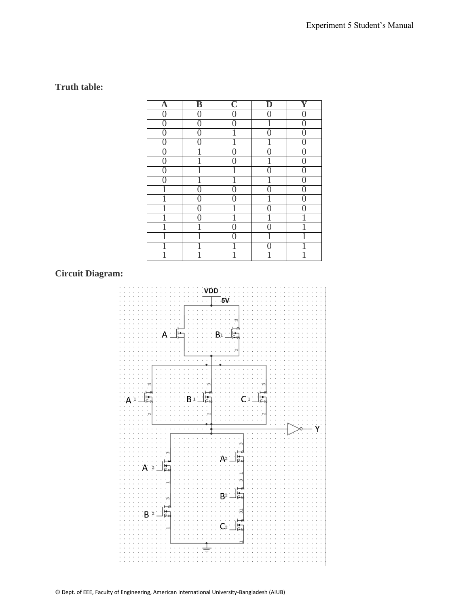# **Truth table:**

| A              | $\overline{\mathbf{B}}$ | $\overline{\mathbb{C}}$ | D      | Y                |
|----------------|-------------------------|-------------------------|--------|------------------|
| $\overline{0}$ | 0                       | $\overline{0}$          | 0      | $\boldsymbol{0}$ |
| $\overline{0}$ | 0                       | $\overline{0}$          |        | $\overline{0}$   |
| $\overline{0}$ | $\overline{0}$          | 1                       | $\cap$ | $\overline{0}$   |
| $\overline{0}$ | 0                       | 1                       | 1      | $\overline{0}$   |
| $\overline{0}$ | 1                       | $\overline{0}$          |        | $\overline{0}$   |
| $\overline{0}$ |                         | $\overline{0}$          |        | $\overline{0}$   |
| $\theta$       | 1                       | Ī                       | 0      | $\overline{0}$   |
| ⋂              |                         | 1                       |        | $\overline{0}$   |
| 1              | $\overline{0}$          | $\overline{0}$          |        | $\overline{0}$   |
| 1              | $\overline{0}$          | $\overline{0}$          | 1      | $\overline{0}$   |
| 1              | $\overline{0}$          | 1                       | Λ      | $\overline{0}$   |
| 1              | 0                       | 1                       | 1      | Ī                |
| 1              | 1                       | $\overline{0}$          | ⋂      | 1                |
|                |                         | 0                       |        |                  |
|                |                         | 1                       |        |                  |
| Ī              | 1                       | 1                       | 1      |                  |

# **Circuit Diagram:**

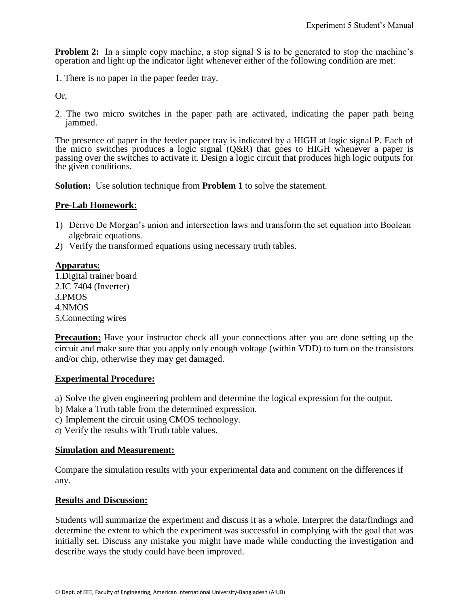**Problem 2:** In a simple copy machine, a stop signal S is to be generated to stop the machine's operation and light up the indicator light whenever either of the following condition are met:

1. There is no paper in the paper feeder tray.

Or,

2. The two micro switches in the paper path are activated, indicating the paper path being jammed.

The presence of paper in the feeder paper tray is indicated by a HIGH at logic signal P. Each of the micro switches produces a logic signal  $(O&R)$  that goes to HIGH whenever a paper is passing over the switches to activate it. Design a logic circuit that produces high logic outputs for the given conditions.

**Solution:** Use solution technique from **Problem 1** to solve the statement.

### **Pre-Lab Homework:**

- 1) Derive De Morgan's union and intersection laws and transform the set equation into Boolean algebraic equations.
- 2) Verify the transformed equations using necessary truth tables.

### **Apparatus:**

1.Digital trainer board 2.IC 7404 (Inverter) 3.PMOS 4.NMOS 5.Connecting wires

**Precaution:** Have your instructor check all your connections after you are done setting up the circuit and make sure that you apply only enough voltage (within VDD) to turn on the transistors and/or chip, otherwise they may get damaged.

### **Experimental Procedure:**

- a) Solve the given engineering problem and determine the logical expression for the output.
- b) Make a Truth table from the determined expression.
- c) Implement the circuit using CMOS technology.
- d) Verify the results with Truth table values.

### **Simulation and Measurement:**

Compare the simulation results with your experimental data and comment on the differences if any.

### **Results and Discussion:**

Students will summarize the experiment and discuss it as a whole. Interpret the data/findings and determine the extent to which the experiment was successful in complying with the goal that was initially set. Discuss any mistake you might have made while conducting the investigation and describe ways the study could have been improved.